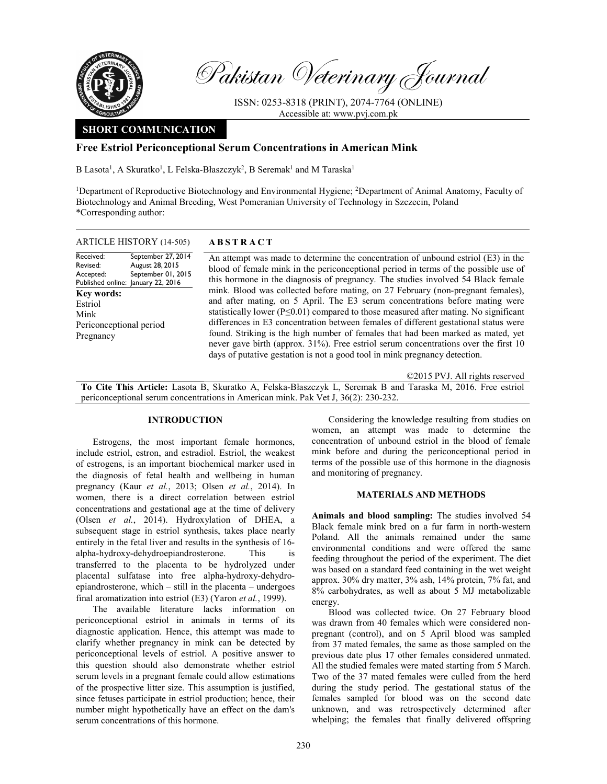

Pakistan Veterinary Journal

ISSN: 0253-8318 (PRINT), 2074-7764 (ONLINE) Accessible at: www.pvj.com.pk

# SHORT COMMUNICATION

## Free Estriol Periconceptional Serum Concentrations in American Mink

B Lasota<sup>1</sup>, A Skuratko<sup>1</sup>, L Felska-Błaszczyk<sup>2</sup>, B Seremak<sup>1</sup> and M Taraska<sup>1</sup>

<sup>1</sup>Department of Reproductive Biotechnology and Environmental Hygiene; <sup>2</sup>Department of Animal Anatomy, Faculty of Biotechnology and Animal Breeding, West Pomeranian University of Technology in Szczecin, Poland \*Corresponding author:

#### ARTICLE HISTORY (14-505) ABSTRACT

Received: Revised: Accepted: Published online: January 22, 2016 September 27, 2014 August 28, 2015 September 01, 2015 Key words: Estriol Mink Periconceptional period Pregnancy

 An attempt was made to determine the concentration of unbound estriol (E3) in the blood of female mink in the periconceptional period in terms of the possible use of this hormone in the diagnosis of pregnancy. The studies involved 54 Black female mink. Blood was collected before mating, on 27 February (non-pregnant females), and after mating, on 5 April. The E3 serum concentrations before mating were statistically lower ( $P \le 0.01$ ) compared to those measured after mating. No significant differences in E3 concentration between females of different gestational status were found. Striking is the high number of females that had been marked as mated, yet never gave birth (approx. 31%). Free estriol serum concentrations over the first 10 days of putative gestation is not a good tool in mink pregnancy detection.

©2015 PVJ. All rights reserved To Cite This Article: Lasota B, Skuratko A, Felska-Błaszczyk L, Seremak B and Taraska M, 2016. Free estriol periconceptional serum concentrations in American mink. Pak Vet J, 36(2): 230-232.

#### INTRODUCTION

Estrogens, the most important female hormones, include estriol, estron, and estradiol. Estriol, the weakest of estrogens, is an important biochemical marker used in the diagnosis of fetal health and wellbeing in human pregnancy (Kaur et al., 2013; Olsen et al., 2014). In women, there is a direct correlation between estriol concentrations and gestational age at the time of delivery (Olsen et al., 2014). Hydroxylation of DHEA, a subsequent stage in estriol synthesis, takes place nearly entirely in the fetal liver and results in the synthesis of 16 alpha-hydroxy-dehydroepiandrosterone. This is transferred to the placenta to be hydrolyzed under placental sulfatase into free alpha-hydroxy-dehydroepiandrosterone, which – still in the placenta – undergoes final aromatization into estriol (E3) (Yaron et al., 1999).

The available literature lacks information on periconceptional estriol in animals in terms of its diagnostic application. Hence, this attempt was made to clarify whether pregnancy in mink can be detected by periconceptional levels of estriol. A positive answer to this question should also demonstrate whether estriol serum levels in a pregnant female could allow estimations of the prospective litter size. This assumption is justified, since fetuses participate in estriol production; hence, their number might hypothetically have an effect on the dam's serum concentrations of this hormone.

Considering the knowledge resulting from studies on women, an attempt was made to determine the concentration of unbound estriol in the blood of female mink before and during the periconceptional period in terms of the possible use of this hormone in the diagnosis and monitoring of pregnancy.

### MATERIALS AND METHODS

Animals and blood sampling: The studies involved 54 Black female mink bred on a fur farm in north-western Poland. All the animals remained under the same environmental conditions and were offered the same feeding throughout the period of the experiment. The diet was based on a standard feed containing in the wet weight approx. 30% dry matter, 3% ash, 14% protein, 7% fat, and 8% carbohydrates, as well as about 5 MJ metabolizable energy.

Blood was collected twice. On 27 February blood was drawn from 40 females which were considered nonpregnant (control), and on 5 April blood was sampled from 37 mated females, the same as those sampled on the previous date plus 17 other females considered unmated. All the studied females were mated starting from 5 March. Two of the 37 mated females were culled from the herd during the study period. The gestational status of the females sampled for blood was on the second date unknown, and was retrospectively determined after whelping; the females that finally delivered offspring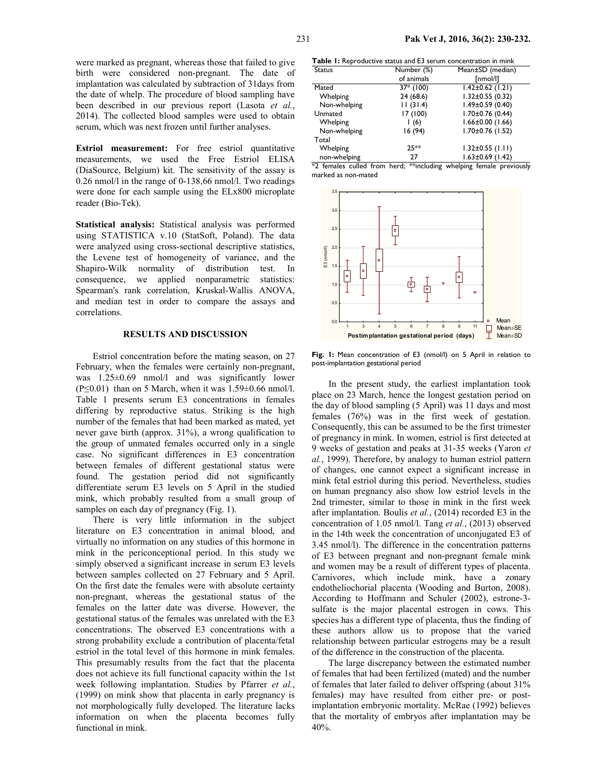were marked as pregnant, whereas those that failed to give birth were considered non-pregnant. The date of implantation was calculated by subtraction of 31days from the date of whelp. The procedure of blood sampling have been described in our previous report (Lasota et al., 2014). The collected blood samples were used to obtain serum, which was next frozen until further analyses.

Estriol measurement: For free estriol quantitative measurements, we used the Free Estriol ELISA (DiaSource, Belgium) kit. The sensitivity of the assay is 0.26 nmol/l in the range of 0-138,66 nmol/l. Two readings were done for each sample using the ELx800 microplate reader (Bio-Tek).

Statistical analysis: Statistical analysis was performed using STATISTICA v.10 (StatSoft, Poland). The data were analyzed using cross-sectional descriptive statistics, the Levene test of homogeneity of variance, and the Shapiro-Wilk normality of distribution test. In consequence, we applied nonparametric statistics: Spearman's rank correlation, Kruskal-Wallis ANOVA, and median test in order to compare the assays and correlations.

#### RESULTS AND DISCUSSION

Estriol concentration before the mating season, on 27 February, when the females were certainly non-pregnant, was  $1.25\pm0.69$  nmol/l and was significantly lower  $(P \le 0.01)$  than on 5 March, when it was  $1.59 \pm 0.66$  nmol/l. Table 1 presents serum E3 concentrations in females differing by reproductive status. Striking is the high number of the females that had been marked as mated, yet never gave birth (approx. 31%), a wrong qualification to the group of unmated females occurred only in a single case. No significant differences in E3 concentration between females of different gestational status were found. The gestation period did not significantly differentiate serum E3 levels on 5 April in the studied mink, which probably resulted from a small group of samples on each day of pregnancy (Fig. 1).

There is very little information in the subject literature on E3 concentration in animal blood, and virtually no information on any studies of this hormone in mink in the periconceptional period. In this study we simply observed a significant increase in serum E3 levels between samples collected on 27 February and 5 April. On the first date the females were with absolute certainty non-pregnant, whereas the gestational status of the females on the latter date was diverse. However, the gestational status of the females was unrelated with the E3 concentrations. The observed E3 concentrations with a strong probability exclude a contribution of placenta/fetal estriol in the total level of this hormone in mink females. This presumably results from the fact that the placenta does not achieve its full functional capacity within the 1st week following implantation. Studies by Pfarrer et al., (1999) on mink show that placenta in early pregnancy is not morphologically fully developed. The literature lacks information on when the placenta becomes fully functional in mink.

Table 1: Reproductive status and E3 serum concentration in mink

| <b>Status</b> | Number (%)  | Mean±SD (median)       |
|---------------|-------------|------------------------|
|               | of animals  | [nmol/l]               |
| Mated         | $37*$ (100) | $1.42 \pm 0.62$ (1.21) |
| Whelping      | 24 (68.6)   | $1.32 \pm 0.55$ (0.32) |
| Non-whelping  | 11(31.4)    | $1.49 \pm 0.59$ (0.40) |
| Unmated       | 17(100)     | $1.70 \pm 0.76$ (0.44) |
| Whelping      | 1(6)        | $1.66 \pm 0.00$ (1.66) |
| Non-whelping  | 16 (94)     | $1.70 \pm 0.76$ (1.52) |
| Total         |             |                        |
| Whelping      | $25**$      | $1.32 \pm 0.55$ (1.11) |
| non-whelping  | 27          | $1.63 \pm 0.69$ (1.42) |

\*2 females culled from herd; \*\*including whelping female previously marked as non-mated



Fig. 1: Mean concentration of E3 (nmol/l) on 5 April in relation to post-implantation gestational period

In the present study, the earliest implantation took place on 23 March, hence the longest gestation period on the day of blood sampling (5 April) was 11 days and most females (76%) was in the first week of gestation. Consequently, this can be assumed to be the first trimester of pregnancy in mink. In women, estriol is first detected at 9 weeks of gestation and peaks at 31-35 weeks (Yaron et al., 1999). Therefore, by analogy to human estriol pattern of changes, one cannot expect a significant increase in mink fetal estriol during this period. Nevertheless, studies on human pregnancy also show low estriol levels in the 2nd trimester, similar to those in mink in the first week after implantation. Boulis et al., (2014) recorded E3 in the concentration of 1.05 nmol/l. Tang et al., (2013) observed in the 14th week the concentration of unconjugated E3 of 3.45 nmol/l). The difference in the concentration patterns of E3 between pregnant and non-pregnant female mink and women may be a result of different types of placenta. Carnivores, which include mink, have a zonary endotheliochorial placenta (Wooding and Burton, 2008). According to Hoffmann and Schuler (2002), estrone-3 sulfate is the major placental estrogen in cows. This species has a different type of placenta, thus the finding of these authors allow us to propose that the varied relationship between particular estrogens may be a result of the difference in the construction of the placenta.

The large discrepancy between the estimated number of females that had been fertilized (mated) and the number of females that later failed to deliver offspring (about 31% females) may have resulted from either pre- or postimplantation embryonic mortality. McRae (1992) believes that the mortality of embryos after implantation may be 40%.